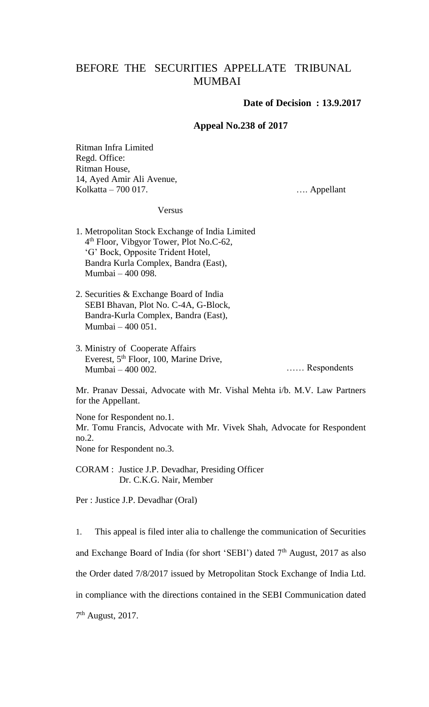## BEFORE THE SECURITIES APPELLATE TRIBUNAL MUMBAI

## **Date of Decision : 13.9.2017**

## **Appeal No.238 of 2017**

Ritman Infra Limited Regd. Office: Ritman House, 14, Ayed Amir Ali Avenue, Kolkatta – 700 017. Kolkatta – 700 017.

## Versus

- 1. Metropolitan Stock Exchange of India Limited 4 th Floor, Vibgyor Tower, Plot No.C-62, 'G' Bock, Opposite Trident Hotel, Bandra Kurla Complex, Bandra (East), Mumbai – 400 098.
- 2. Securities & Exchange Board of India SEBI Bhavan, Plot No. C-4A, G-Block, Bandra-Kurla Complex, Bandra (East), Mumbai – 400 051.
- 3. Ministry of Cooperate Affairs Everest, 5th Floor, 100, Marine Drive, Mumbai – 400 002.

…… Respondents

Mr. Pranav Dessai, Advocate with Mr. Vishal Mehta i/b. M.V. Law Partners for the Appellant.

None for Respondent no.1. Mr. Tomu Francis, Advocate with Mr. Vivek Shah, Advocate for Respondent no.2. None for Respondent no.3.

CORAM : Justice J.P. Devadhar, Presiding Officer Dr. C.K.G. Nair, Member

Per : Justice J.P. Devadhar (Oral)

1. This appeal is filed inter alia to challenge the communication of Securities and Exchange Board of India (for short 'SEBI') dated 7<sup>th</sup> August, 2017 as also the Order dated 7/8/2017 issued by Metropolitan Stock Exchange of India Ltd. in compliance with the directions contained in the SEBI Communication dated 7<sup>th</sup> August, 2017.